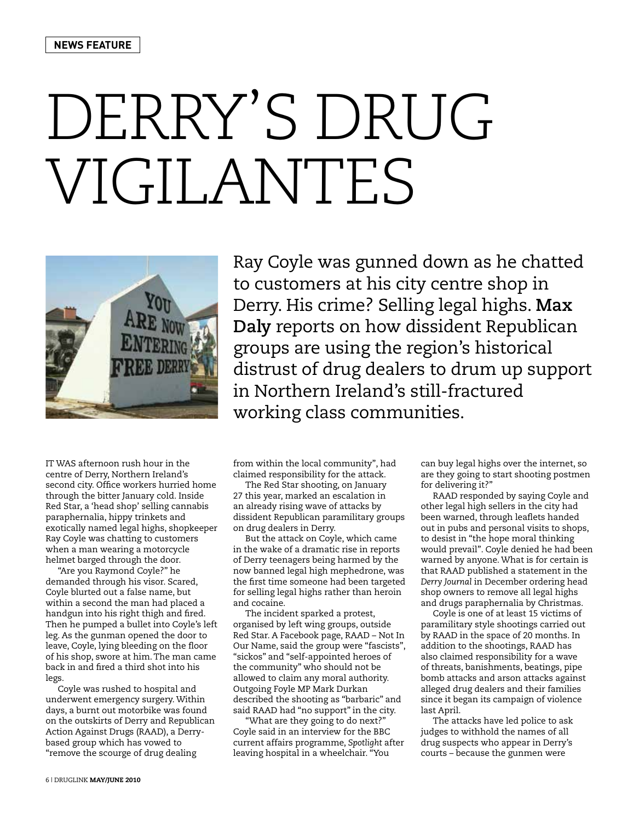## DERRY'S DRUG VIGILANTES



IT WAS afternoon rush hour in the centre of Derry, Northern Ireland's second city. Office workers hurried home through the bitter January cold. Inside Red Star, a 'head shop' selling cannabis paraphernalia, hippy trinkets and exotically named legal highs, shopkeeper Ray Coyle was chatting to customers when a man wearing a motorcycle helmet barged through the door.

"Are you Raymond Coyle?" he demanded through his visor. Scared, Coyle blurted out a false name, but within a second the man had placed a handgun into his right thigh and fired. Then he pumped a bullet into Coyle's left leg. As the gunman opened the door to leave, Coyle, lying bleeding on the floor of his shop, swore at him. The man came back in and fired a third shot into his legs.

Coyle was rushed to hospital and underwent emergency surgery. Within days, a burnt out motorbike was found on the outskirts of Derry and Republican Action Against Drugs (RAAD), a Derrybased group which has vowed to "remove the scourge of drug dealing

Ray Coyle was gunned down as he chatted to customers at his city centre shop in Derry. His crime? Selling legal highs. **Max Daly** reports on how dissident Republican groups are using the region's historical distrust of drug dealers to drum up support in Northern Ireland's still-fractured working class communities.

from within the local community", had claimed responsibility for the attack.

The Red Star shooting, on January 27 this year, marked an escalation in an already rising wave of attacks by dissident Republican paramilitary groups on drug dealers in Derry.

But the attack on Coyle, which came in the wake of a dramatic rise in reports of Derry teenagers being harmed by the now banned legal high mephedrone, was the first time someone had been targeted for selling legal highs rather than heroin and cocaine.

The incident sparked a protest, organised by left wing groups, outside Red Star. A Facebook page, RAAD – Not In Our Name, said the group were "fascists", "sickos" and "self-appointed heroes of the community" who should not be allowed to claim any moral authority. Outgoing Foyle MP Mark Durkan described the shooting as "barbaric" and said RAAD had "no support" in the city.

"What are they going to do next?" Coyle said in an interview for the BBC current affairs programme, *Spotlight* after leaving hospital in a wheelchair. "You

can buy legal highs over the internet, so are they going to start shooting postmen for delivering it?"

RAAD responded by saying Coyle and other legal high sellers in the city had been warned, through leaflets handed out in pubs and personal visits to shops, to desist in "the hope moral thinking would prevail". Coyle denied he had been warned by anyone. What is for certain is that RAAD published a statement in the *Derry Journal* in December ordering head shop owners to remove all legal highs and drugs paraphernalia by Christmas.

Coyle is one of at least 15 victims of paramilitary style shootings carried out by RAAD in the space of 20 months. In addition to the shootings, RAAD has also claimed responsibility for a wave of threats, banishments, beatings, pipe bomb attacks and arson attacks against alleged drug dealers and their families since it began its campaign of violence last April.

The attacks have led police to ask judges to withhold the names of all drug suspects who appear in Derry's courts – because the gunmen were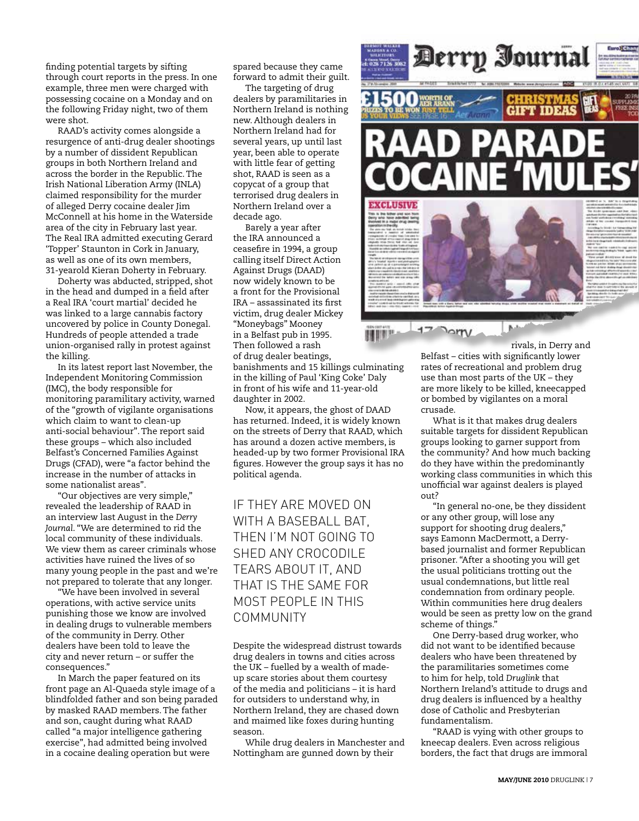finding potential targets by sifting through court reports in the press. In one example, three men were charged with possessing cocaine on a Monday and on the following Friday night, two of them were shot.

RAAD's activity comes alongside a resurgence of anti-drug dealer shootings by a number of dissident Republican groups in both Northern Ireland and across the border in the Republic. The Irish National Liberation Army (INLA) claimed responsibility for the murder of alleged Derry cocaine dealer Jim McConnell at his home in the Waterside area of the city in February last year. The Real IRA admitted executing Gerard 'Topper' Staunton in Cork in January, as well as one of its own members, 31-yearold Kieran Doherty in February.

Doherty was abducted, stripped, shot in the head and dumped in a field after a Real IRA 'court martial' decided he was linked to a large cannabis factory uncovered by police in County Donegal. Hundreds of people attended a trade union-organised rally in protest against the killing.

In its latest report last November, the Independent Monitoring Commission (IMC), the body responsible for monitoring paramilitary activity, warned of the "growth of vigilante organisations which claim to want to clean-up anti-social behaviour". The report said these groups – which also included Belfast's Concerned Families Against Drugs (CFAD), were "a factor behind the increase in the number of attacks in some nationalist areas".

"Our objectives are very simple," revealed the leadership of RAAD in an interview last August in the *Derry Journal*. "We are determined to rid the local community of these individuals. We view them as career criminals whose activities have ruined the lives of so many young people in the past and we're not prepared to tolerate that any longer.

.<br>We have been involved in several operations, with active service units punishing those we know are involved in dealing drugs to vulnerable members of the community in Derry. Other dealers have been told to leave the city and never return – or suffer the consequences."

In March the paper featured on its front page an Al-Quaeda style image of a blindfolded father and son being paraded by masked RAAD members. The father and son, caught during what RAAD called "a major intelligence gathering exercise", had admitted being involved in a cocaine dealing operation but were

spared because they came forward to admit their guilt.

The targeting of drug dealers by paramilitaries in Northern Ireland is nothing new. Although dealers in Northern Ireland had for several years, up until last year, been able to operate with little fear of getting shot, RAAD is seen as a copycat of a group that terrorised drug dealers in Northern Ireland over a decade ago.

Barely a year after the IRA announced a ceasefire in 1994, a group calling itself Direct Action Against Drugs (DAAD) now widely known to be a front for the Provisional IRA – assassinated its first victim, drug dealer Mickey "Moneybags" Mooney in a Belfast pub in 1995. Then followed a rash of drug dealer beatings,

banishments and 15 killings culminating in the killing of Paul 'King Coke' Daly in front of his wife and 11-year-old daughter in 2002.

Now, it appears, the ghost of DAAD has returned. Indeed, it is widely known on the streets of Derry that RAAD, which has around a dozen active members, is headed-up by two former Provisional IRA figures. However the group says it has no political agenda.

IF THEY ARE MOVED ON WITH A BASEBALL BAT, THEN I'M NOT GOING TO SHED ANY CROCODILE TEARS ABOUT IT, AND THAT IS THE SAME FOR MOST PEOPLE IN THIS COMMUNITY

Despite the widespread distrust towards drug dealers in towns and cities across the UK – fuelled by a wealth of madeup scare stories about them courtesy of the media and politicians – it is hard for outsiders to understand why, in Northern Ireland, they are chased down and maimed like foxes during hunting season.

While drug dealers in Manchester and Nottingham are gunned down by their



rivals, in Derry and Belfast – cities with significantly lower rates of recreational and problem drug use than most parts of the UK – they are more likely to be killed, kneecapped or bombed by vigilantes on a moral crusade.

What is it that makes drug dealers suitable targets for dissident Republican groups looking to garner support from the community? And how much backing do they have within the predominantly working class communities in which this unofficial war against dealers is played  $O<sub>011</sub>$ 

"In general no-one, be they dissident or any other group, will lose any support for shooting drug dealers," says Eamonn MacDermott, a Derrybased journalist and former Republican prisoner. "After a shooting you will get the usual politicians trotting out the usual condemnations, but little real condemnation from ordinary people. Within communities here drug dealers would be seen as pretty low on the grand scheme of things."

One Derry-based drug worker, who did not want to be identified because dealers who have been threatened by the paramilitaries sometimes come to him for help, told *Druglink* that Northern Ireland's attitude to drugs and drug dealers is influenced by a healthy dose of Catholic and Presbyterian fundamentalism.

"RAAD is vying with other groups to kneecap dealers. Even across religious borders, the fact that drugs are immoral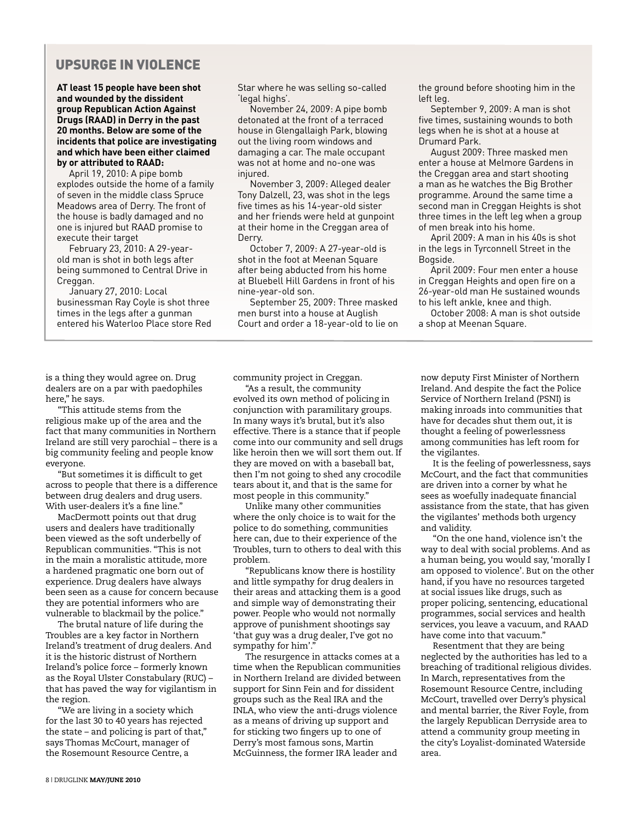## UPSURGE IN VIOLENCE

**AT least 15 people have been shot and wounded by the dissident group Republican Action Against Drugs (RAAD) in Derry in the past 20 months. Below are some of the incidents that police are investigating and which have been either claimed by or attributed to RAAD:**

April 19, 2010: A pipe bomb explodes outside the home of a family of seven in the middle class Spruce Meadows area of Derry. The front of the house is badly damaged and no one is injured but RAAD promise to execute their target

February 23, 2010: A 29-yearold man is shot in both legs after being summoned to Central Drive in Creggan.

January 27, 2010: Local businessman Ray Coyle is shot three times in the legs after a gunman entered his Waterloo Place store Red Star where he was selling so-called 'legal highs'.

November 24, 2009: A pipe bomb detonated at the front of a terraced house in Glengallaigh Park, blowing out the living room windows and damaging a car. The male occupant was not at home and no-one was injured.

November 3, 2009: Alleged dealer Tony Dalzell, 23, was shot in the legs five times as his 14-year-old sister and her friends were held at gunpoint at their home in the Creggan area of Derry.

October 7, 2009: A 27-year-old is shot in the foot at Meenan Square after being abducted from his home at Bluebell Hill Gardens in front of his nine-year-old son.

September 25, 2009: Three masked men burst into a house at Auglish Court and order a 18-year-old to lie on

community project in Creggan. "As a result, the community

evolved its own method of policing in conjunction with paramilitary groups. In many ways it's brutal, but it's also effective. There is a stance that if people come into our community and sell drugs like heroin then we will sort them out. If they are moved on with a baseball bat, then I'm not going to shed any crocodile tears about it, and that is the same for most people in this community."

Unlike many other communities where the only choice is to wait for the police to do something, communities here can, due to their experience of the Troubles, turn to others to deal with this problem.

"Republicans know there is hostility and little sympathy for drug dealers in their areas and attacking them is a good and simple way of demonstrating their power. People who would not normally approve of punishment shootings say 'that guy was a drug dealer, I've got no sympathy for him'.

The resurgence in attacks comes at a time when the Republican communities in Northern Ireland are divided between support for Sinn Fein and for dissident groups such as the Real IRA and the INLA, who view the anti-drugs violence as a means of driving up support and for sticking two fingers up to one of Derry's most famous sons, Martin McGuinness, the former IRA leader and

the ground before shooting him in the left leg.

September 9, 2009: A man is shot five times, sustaining wounds to both legs when he is shot at a house at Drumard Park.

August 2009: Three masked men enter a house at Melmore Gardens in the Creggan area and start shooting a man as he watches the Big Brother programme. Around the same time a second man in Creggan Heights is shot three times in the left leg when a group of men break into his home.

April 2009: A man in his 40s is shot in the legs in Tyrconnell Street in the Bogside.

April 2009: Four men enter a house in Creggan Heights and open fire on a 26-year-old man He sustained wounds to his left ankle, knee and thigh.

October 2008: A man is shot outside a shop at Meenan Square.

is a thing they would agree on. Drug dealers are on a par with paedophiles here," he says.

"This attitude stems from the religious make up of the area and the fact that many communities in Northern Ireland are still very parochial – there is a big community feeling and people know everyone.

"But sometimes it is difficult to get across to people that there is a difference between drug dealers and drug users. With user-dealers it's a fine line."

MacDermott points out that drug users and dealers have traditionally been viewed as the soft underbelly of Republican communities. "This is not in the main a moralistic attitude, more a hardened pragmatic one born out of experience. Drug dealers have always been seen as a cause for concern because they are potential informers who are vulnerable to blackmail by the police."

The brutal nature of life during the Troubles are a key factor in Northern Ireland's treatment of drug dealers. And it is the historic distrust of Northern Ireland's police force – formerly known as the Royal Ulster Constabulary (RUC) – that has paved the way for vigilantism in the region.

"We are living in a society which for the last 30 to 40 years has rejected the state – and policing is part of that," says Thomas McCourt, manager of the Rosemount Resource Centre, a

Ireland. And despite the fact the Police Service of Northern Ireland (PSNI) is making inroads into communities that have for decades shut them out, it is thought a feeling of powerlessness among communities has left room for the vigilantes. It is the feeling of powerlessness, says

now deputy First Minister of Northern

McCourt, and the fact that communities are driven into a corner by what he sees as woefully inadequate financial assistance from the state, that has given the vigilantes' methods both urgency and validity.

"On the one hand, violence isn't the way to deal with social problems. And as a human being, you would say, 'morally I am opposed to violence'. But on the other hand, if you have no resources targeted at social issues like drugs, such as proper policing, sentencing, educational programmes, social services and health services, you leave a vacuum, and RAAD have come into that vacuum."

Resentment that they are being neglected by the authorities has led to a breaching of traditional religious divides. In March, representatives from the Rosemount Resource Centre, including McCourt, travelled over Derry's physical and mental barrier, the River Foyle, from the largely Republican Derryside area to attend a community group meeting in the city's Loyalist-dominated Waterside area.